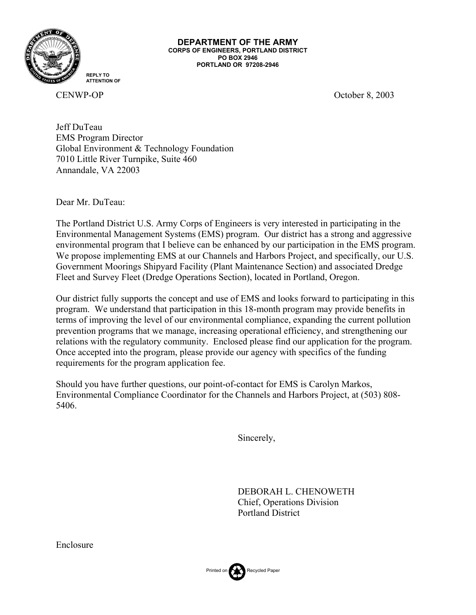

**DEPARTMENT OF THE ARMY CORPS OF ENGINEERS, PORTLAND DISTRICT PO BOX 2946 PORTLAND OR 97208-2946** 

**REPLY TO ATTENTION OF**

CENWP-OP October 8, 2003

Jeff DuTeau EMS Program Director Global Environment & Technology Foundation 7010 Little River Turnpike, Suite 460 Annandale, VA 22003

Dear Mr. DuTeau:

The Portland District U.S. Army Corps of Engineers is very interested in participating in the Environmental Management Systems (EMS) program. Our district has a strong and aggressive environmental program that I believe can be enhanced by our participation in the EMS program. We propose implementing EMS at our Channels and Harbors Project, and specifically, our U.S. Government Moorings Shipyard Facility (Plant Maintenance Section) and associated Dredge Fleet and Survey Fleet (Dredge Operations Section), located in Portland, Oregon.

Our district fully supports the concept and use of EMS and looks forward to participating in this program. We understand that participation in this 18-month program may provide benefits in terms of improving the level of our environmental compliance, expanding the current pollution prevention programs that we manage, increasing operational efficiency, and strengthening our relations with the regulatory community. Enclosed please find our application for the program. Once accepted into the program, please provide our agency with specifics of the funding requirements for the program application fee.

Should you have further questions, our point-of-contact for EMS is Carolyn Markos, Environmental Compliance Coordinator for the Channels and Harbors Project, at (503) 808- 5406.

Sincerely,

 DEBORAH L. CHENOWETH Chief, Operations Division Portland District



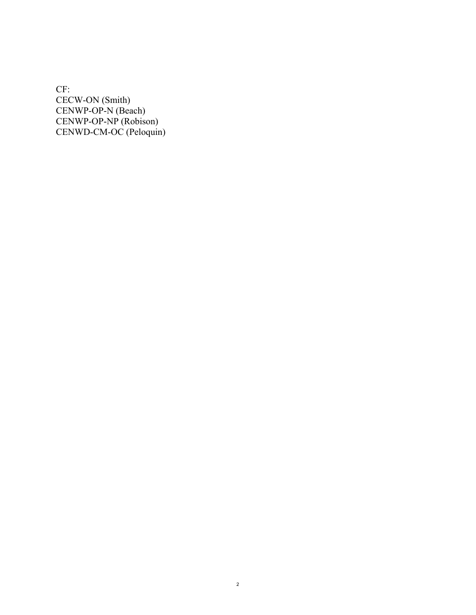CF: CECW-ON (Smith) CENWP-OP-N (Beach) CENWP-OP-NP (Robison) CENWD-CM-OC (Peloquin)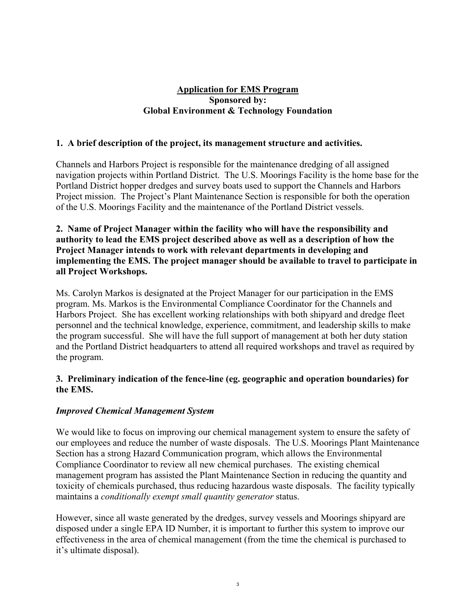# **Application for EMS Program Sponsored by: Global Environment & Technology Foundation**

## **1. A brief description of the project, its management structure and activities.**

Channels and Harbors Project is responsible for the maintenance dredging of all assigned navigation projects within Portland District. The U.S. Moorings Facility is the home base for the Portland District hopper dredges and survey boats used to support the Channels and Harbors Project mission. The Project's Plant Maintenance Section is responsible for both the operation of the U.S. Moorings Facility and the maintenance of the Portland District vessels.

## **2. Name of Project Manager within the facility who will have the responsibility and authority to lead the EMS project described above as well as a description of how the Project Manager intends to work with relevant departments in developing and implementing the EMS. The project manager should be available to travel to participate in all Project Workshops.**

Ms. Carolyn Markos is designated at the Project Manager for our participation in the EMS program. Ms. Markos is the Environmental Compliance Coordinator for the Channels and Harbors Project. She has excellent working relationships with both shipyard and dredge fleet personnel and the technical knowledge, experience, commitment, and leadership skills to make the program successful. She will have the full support of management at both her duty station and the Portland District headquarters to attend all required workshops and travel as required by the program.

## **3. Preliminary indication of the fence-line (eg. geographic and operation boundaries) for the EMS.**

## *Improved Chemical Management System*

We would like to focus on improving our chemical management system to ensure the safety of our employees and reduce the number of waste disposals. The U.S. Moorings Plant Maintenance Section has a strong Hazard Communication program, which allows the Environmental Compliance Coordinator to review all new chemical purchases. The existing chemical management program has assisted the Plant Maintenance Section in reducing the quantity and toxicity of chemicals purchased, thus reducing hazardous waste disposals. The facility typically maintains a *conditionally exempt small quantity generator* status.

However, since all waste generated by the dredges, survey vessels and Moorings shipyard are disposed under a single EPA ID Number, it is important to further this system to improve our effectiveness in the area of chemical management (from the time the chemical is purchased to it's ultimate disposal).